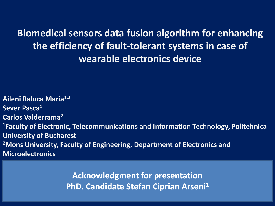**Aileni Raluca Maria1,2 Sever Pasca1 Carlos Valderrama2 1Faculty of Electronic, Telecommunications and Information Technology, Politehnica University of Bucharest 2Mons University, Faculty of Engineering, Department of Electronics and Microelectronics**

> **Acknowledgment for presentation PhD. Candidate Stefan Ciprian Arseni1**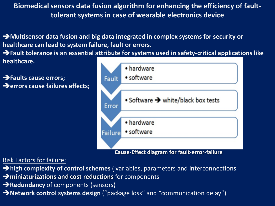**Multisensor data fusion and big data integrated in complex systems for security or healthcare can lead to system failure, fault or errors.** 

**Fault tolerance is an essential attribute for systems used in safety-critical applications like healthcare.**

**Faults cause errors;**  $\rightarrow$  **errors cause failures effects;** 



**Cause-Effect diagram for fault-error-failure**

Risk Factors for failure:

- **high complexity of control schemes** (variables, parameters and interconnections
- $\rightarrow$  miniaturizations and cost reductions for components
- **Redundancy** of components (sensors)
- **Network control systems design** ("package loss" and "communication delay")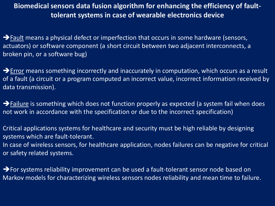$\rightarrow$  Fault means a physical defect or imperfection that occurs in some hardware (sensors, actuators) or software component (a short circuit between two adjacent interconnects, a broken pin, or a software bug)

 $\rightarrow$  Error means something incorrectly and inaccurately in computation, which occurs as a result of a fault (a circuit or a program computed an incorrect value, incorrect information received by data transmission).

 $\rightarrow$  Failure is something which does not function properly as expected (a system fail when does not work in accordance with the specification or due to the incorrect specification)

Critical applications systems for healthcare and security must be high reliable by designing systems which are fault-tolerant. In case of wireless sensors, for healthcare application, nodes failures can be negative for critical or safety related systems.

→ For systems reliability improvement can be used a fault-tolerant sensor node based on Markov models for characterizing wireless sensors nodes reliability and mean time to failure.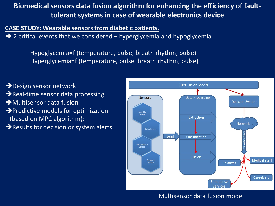**CASE STUDY: Wearable sensors from diabetic patients.** 

 $\rightarrow$  2 critical events that we considered – hyperglycemia and hypoglycemia

 Hypoglycemia=f (temperature, pulse, breath rhythm, pulse) Hyperglycemia=f (temperature, pulse, breath rhythm, pulse)

- **→** Design sensor network Real-time sensor data processing
- **→**Multisensor data fusion
- $\rightarrow$  Predictive models for optimization (based on MPC algorithm);
- $\rightarrow$  Results for decision or system alerts



#### Multisensor data fusion model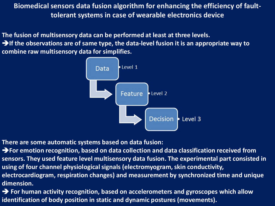**The fusion of multisensory data can be performed at least at three levels.**

**If the observations are of same type, the data-level fusion it is an appropriate way to combine raw multisensory data for simplifies.**



**There are some automatic systems based on data fusion:**

**For emotion recognition, based on data collection and data classification received from sensors. They used feature level multisensory data fusion. The experimental part consisted in using of four channel physiological signals (electromyogram, skin conductivity, electrocardiogram, respiration changes) and measurement by synchronized time and unique dimension.**

**For human activity recognition, based on accelerometers and gyroscopes which allow identification of body position in static and dynamic postures (movements).**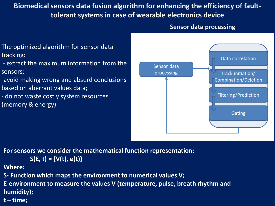#### **Sensor data processing**

- The optimized algorithm for sensor data tracking:
- extract the maximum information from the sensors;
- -avoid making wrong and absurd conclusions based on aberrant values data;
- do not waste costly system resources (memory & energy).



**For sensors we consider the mathematical function representation:**

$$
S(E, t) = \{V(t), e(t)\}
$$

**Where:**

- **S- Function which maps the environment to numerical values V;**
- **E-environment to measure the values V (temperature, pulse, breath rhythm and humidity);**
- **t – time;**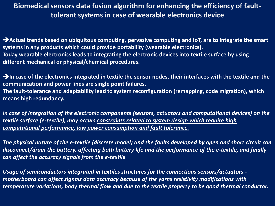**Actual trends based on ubiquitous computing, pervasive computing and IoT, are to integrate the smart systems in any products which could provide portability (wearable electronics). Today wearable electronics leads to integrating the electronic devices into textile surface by using different mechanical or physical/chemical procedures.**

**In case of the electronics integrated in textile the sensor nodes, their interfaces with the textile and the communication and power lines are single point failures. The fault-tolerance and adaptability lead to system reconfiguration (remapping, code migration), which means high redundancy.** 

*In case of integration of the electronic components (sensors, actuators and computational devices) on the textile surface (e-textile), may occurs constraints related to system design which require high computational performance, low power consumption and fault tolerance.* 

*The physical nature of the e-textile (discrete model) and the faults developed by open and short circuit can disconnect/drain the battery, affecting both battery life and the performance of the e-textile, and finally can affect the accuracy signals from the e-textile*

*Usage of semiconductors integrated in textiles structures for the connections sensors/actuators motherboard can affect signals data accuracy because of the yarns resistivity modifications with temperature variations, body thermal flow and due to the textile property to be good thermal conductor.*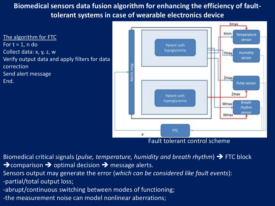The algorithm for FTC For  $t = 1$ , n do Collect data: x, y, z, w Verify output data and apply filters for data correction Send alert message End.



Fault tolerant control scheme

- Biomedical critical signals (*pulse, temperature, humidity and breath rhythm*) FTC block  $\rightarrow$  comparison  $\rightarrow$  optimal decision  $\rightarrow$  message alerts.
- Sensors output may generate the error (*which can be considered like fault events*):
- -partial/total output loss;
- -abrupt/continuous switching between modes of functioning;
- -the measurement noise can model nonlinear aberrations;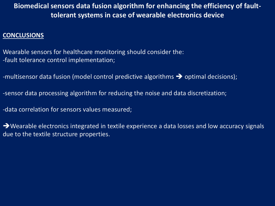#### **CONCLUSIONS**

Wearable sensors for healthcare monitoring should consider the: -fault tolerance control implementation;

-multisensor data fusion (model control predictive algorithms  $\rightarrow$  optimal decisions);

-sensor data processing algorithm for reducing the noise and data discretization;

-data correlation for sensors values measured;

→ Wearable electronics integrated in textile experience a data losses and low accuracy signals due to the textile structure properties.